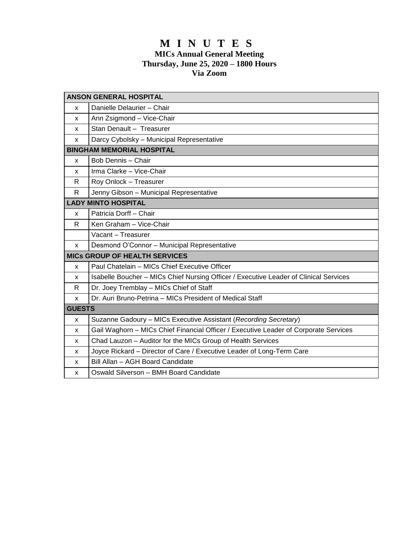# **M I N U T E S MICs Annual General Meeting Thursday, June 25, 2020 – 1800 Hours Via Zoom**

| <b>ANSON GENERAL HOSPITAL</b>        |                                                                                       |
|--------------------------------------|---------------------------------------------------------------------------------------|
| x                                    | Danielle Delaurier - Chair                                                            |
| x                                    | Ann Zsigmond - Vice-Chair                                                             |
| x                                    | Stan Denault - Treasurer                                                              |
| x                                    | Darcy Cybolsky - Municipal Representative                                             |
| <b>BINGHAM MEMORIAL HOSPITAL</b>     |                                                                                       |
| x                                    | Bob Dennis - Chair                                                                    |
| x                                    | Irma Clarke - Vice-Chair                                                              |
| R                                    | Roy Onlock - Treasurer                                                                |
| R                                    | Jenny Gibson - Municipal Representative                                               |
| <b>LADY MINTO HOSPITAL</b>           |                                                                                       |
| x                                    | Patricia Dorff - Chair                                                                |
| R                                    | Ken Graham - Vice-Chair                                                               |
|                                      | Vacant - Treasurer                                                                    |
| x                                    | Desmond O'Connor - Municipal Representative                                           |
| <b>MICs GROUP OF HEALTH SERVICES</b> |                                                                                       |
| x                                    | Paul Chatelain - MICs Chief Executive Officer                                         |
| x                                    | Isabelle Boucher - MICs Chief Nursing Officer / Executive Leader of Clinical Services |
| R                                    | Dr. Joey Tremblay - MICs Chief of Staff                                               |
| x                                    | Dr. Auri Bruno-Petrina - MICs President of Medical Staff                              |
| <b>GUESTS</b>                        |                                                                                       |
| x                                    | Suzanne Gadoury - MICs Executive Assistant (Recording Secretary)                      |
| x                                    | Gail Waghorn - MICs Chief Financial Officer / Executive Leader of Corporate Services  |
| x                                    | Chad Lauzon - Auditor for the MICs Group of Health Services                           |
| x                                    | Joyce Rickard - Director of Care / Executive Leader of Long-Term Care                 |
| x                                    | Bill Allan - AGH Board Candidate                                                      |
| x                                    | Oswald Silverson - BMH Board Candidate                                                |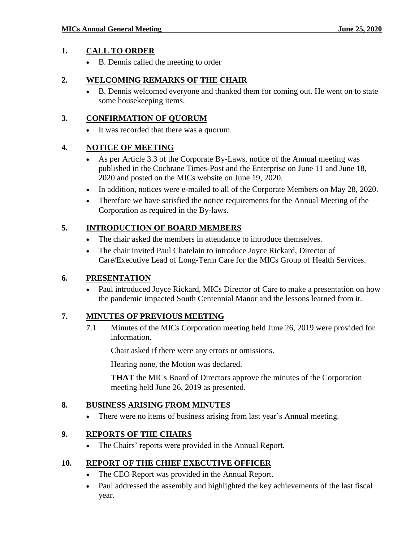#### **1. CALL TO ORDER**

B. Dennis called the meeting to order

#### **2. WELCOMING REMARKS OF THE CHAIR**

 B. Dennis welcomed everyone and thanked them for coming out. He went on to state some housekeeping items.

### **3. CONFIRMATION OF QUORUM**

It was recorded that there was a quorum.

### **4. NOTICE OF MEETING**

- As per Article 3.3 of the Corporate By-Laws, notice of the Annual meeting was published in the Cochrane Times-Post and the Enterprise on June 11 and June 18, 2020 and posted on the MICs website on June 19, 2020.
- In addition, notices were e-mailed to all of the Corporate Members on May 28, 2020.
- Therefore we have satisfied the notice requirements for the Annual Meeting of the Corporation as required in the By-laws.

# **5. INTRODUCTION OF BOARD MEMBERS**

- The chair asked the members in attendance to introduce themselves.
- The chair invited Paul Chatelain to introduce Joyce Rickard, Director of Care/Executive Lead of Long-Term Care for the MICs Group of Health Services.

### **6. PRESENTATION**

 Paul introduced Joyce Rickard, MICs Director of Care to make a presentation on how the pandemic impacted South Centennial Manor and the lessons learned from it.

### **7. MINUTES OF PREVIOUS MEETING**

7.1 Minutes of the MICs Corporation meeting held June 26, 2019 were provided for information.

Chair asked if there were any errors or omissions.

Hearing none, the Motion was declared.

**THAT** the MICs Board of Directors approve the minutes of the Corporation meeting held June 26, 2019 as presented.

### **8. BUSINESS ARISING FROM MINUTES**

There were no items of business arising from last year's Annual meeting.

### **9. REPORTS OF THE CHAIRS**

The Chairs' reports were provided in the Annual Report.

### **10. REPORT OF THE CHIEF EXECUTIVE OFFICER**

- The CEO Report was provided in the Annual Report.
- Paul addressed the assembly and highlighted the key achievements of the last fiscal year.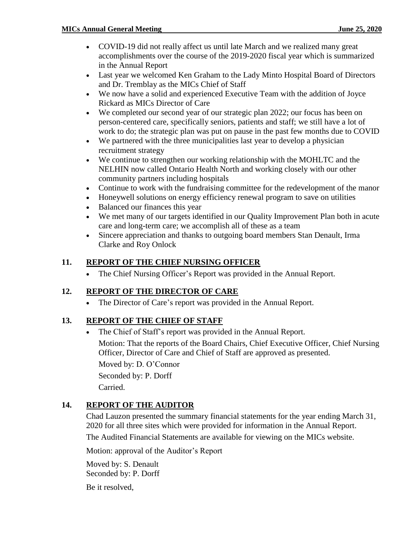- COVID-19 did not really affect us until late March and we realized many great accomplishments over the course of the 2019-2020 fiscal year which is summarized in the Annual Report
- Last year we welcomed Ken Graham to the Lady Minto Hospital Board of Directors and Dr. Tremblay as the MICs Chief of Staff
- We now have a solid and experienced Executive Team with the addition of Joyce Rickard as MICs Director of Care
- We completed our second year of our strategic plan 2022; our focus has been on person-centered care, specifically seniors, patients and staff; we still have a lot of work to do; the strategic plan was put on pause in the past few months due to COVID
- We partnered with the three municipalities last year to develop a physician recruitment strategy
- We continue to strengthen our working relationship with the MOHLTC and the NELHIN now called Ontario Health North and working closely with our other community partners including hospitals
- Continue to work with the fundraising committee for the redevelopment of the manor
- Honeywell solutions on energy efficiency renewal program to save on utilities
- Balanced our finances this year
- We met many of our targets identified in our Quality Improvement Plan both in acute care and long-term care; we accomplish all of these as a team
- Sincere appreciation and thanks to outgoing board members Stan Denault, Irma Clarke and Roy Onlock

### **11. REPORT OF THE CHIEF NURSING OFFICER**

The Chief Nursing Officer's Report was provided in the Annual Report.

### **12. REPORT OF THE DIRECTOR OF CARE**

The Director of Care's report was provided in the Annual Report.

# **13. REPORT OF THE CHIEF OF STAFF**

 The Chief of Staff's report was provided in the Annual Report. Motion: That the reports of the Board Chairs, Chief Executive Officer, Chief Nursing Officer, Director of Care and Chief of Staff are approved as presented. Moved by: D. O'Connor Seconded by: P. Dorff Carried.

### **14. REPORT OF THE AUDITOR**

Chad Lauzon presented the summary financial statements for the year ending March 31, 2020 for all three sites which were provided for information in the Annual Report.

The Audited Financial Statements are available for viewing on the MICs website.

Motion: approval of the Auditor's Report

Moved by: S. Denault Seconded by: P. Dorff

Be it resolved,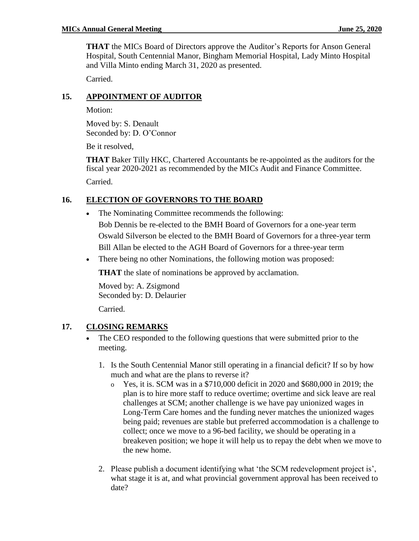**THAT** the MICs Board of Directors approve the Auditor's Reports for Anson General Hospital, South Centennial Manor, Bingham Memorial Hospital, Lady Minto Hospital and Villa Minto ending March 31, 2020 as presented.

Carried.

### **15. APPOINTMENT OF AUDITOR**

Motion:

Moved by: S. Denault Seconded by: D. O'Connor

Be it resolved,

**THAT** Baker Tilly HKC, Chartered Accountants be re-appointed as the auditors for the fiscal year 2020-2021 as recommended by the MICs Audit and Finance Committee. Carried.

# **16. ELECTION OF GOVERNORS TO THE BOARD**

- The Nominating Committee recommends the following: Bob Dennis be re-elected to the BMH Board of Governors for a one-year term Oswald Silverson be elected to the BMH Board of Governors for a three-year term Bill Allan be elected to the AGH Board of Governors for a three-year term
- There being no other Nominations, the following motion was proposed:

**THAT** the slate of nominations be approved by acclamation.

Moved by: A. Zsigmond Seconded by: D. Delaurier Carried.

### **17. CLOSING REMARKS**

- The CEO responded to the following questions that were submitted prior to the meeting.
	- 1. Is the South Centennial Manor still operating in a financial deficit? If so by how much and what are the plans to reverse it?
		- o Yes, it is. SCM was in a \$710,000 deficit in 2020 and \$680,000 in 2019; the plan is to hire more staff to reduce overtime; overtime and sick leave are real challenges at SCM; another challenge is we have pay unionized wages in Long-Term Care homes and the funding never matches the unionized wages being paid; revenues are stable but preferred accommodation is a challenge to collect; once we move to a 96-bed facility, we should be operating in a breakeven position; we hope it will help us to repay the debt when we move to the new home.
	- 2. Please publish a document identifying what 'the SCM redevelopment project is', what stage it is at, and what provincial government approval has been received to date?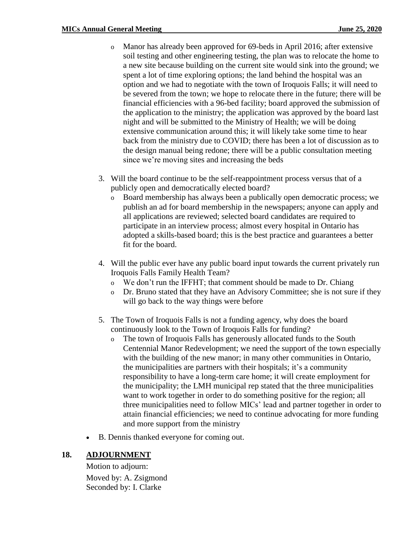- o Manor has already been approved for 69-beds in April 2016; after extensive soil testing and other engineering testing, the plan was to relocate the home to a new site because building on the current site would sink into the ground; we spent a lot of time exploring options; the land behind the hospital was an option and we had to negotiate with the town of Iroquois Falls; it will need to be severed from the town; we hope to relocate there in the future; there will be financial efficiencies with a 96-bed facility; board approved the submission of the application to the ministry; the application was approved by the board last night and will be submitted to the Ministry of Health; we will be doing extensive communication around this; it will likely take some time to hear back from the ministry due to COVID; there has been a lot of discussion as to the design manual being redone; there will be a public consultation meeting since we're moving sites and increasing the beds
- 3. Will the board continue to be the self-reappointment process versus that of a publicly open and democratically elected board?
	- o Board membership has always been a publically open democratic process; we publish an ad for board membership in the newspapers; anyone can apply and all applications are reviewed; selected board candidates are required to participate in an interview process; almost every hospital in Ontario has adopted a skills-based board; this is the best practice and guarantees a better fit for the board.
- 4. Will the public ever have any public board input towards the current privately run Iroquois Falls Family Health Team?
	- o We don't run the IFFHT; that comment should be made to Dr. Chiang
	- o Dr. Bruno stated that they have an Advisory Committee; she is not sure if they will go back to the way things were before
- 5. The Town of Iroquois Falls is not a funding agency, why does the board continuously look to the Town of Iroquois Falls for funding?
	- o The town of Iroquois Falls has generously allocated funds to the South Centennial Manor Redevelopment; we need the support of the town especially with the building of the new manor; in many other communities in Ontario, the municipalities are partners with their hospitals; it's a community responsibility to have a long-term care home; it will create employment for the municipality; the LMH municipal rep stated that the three municipalities want to work together in order to do something positive for the region; all three municipalities need to follow MICs' lead and partner together in order to attain financial efficiencies; we need to continue advocating for more funding and more support from the ministry
- B. Dennis thanked everyone for coming out.

#### **18. ADJOURNMENT**

Motion to adjourn: Moved by: A. Zsigmond Seconded by: I. Clarke